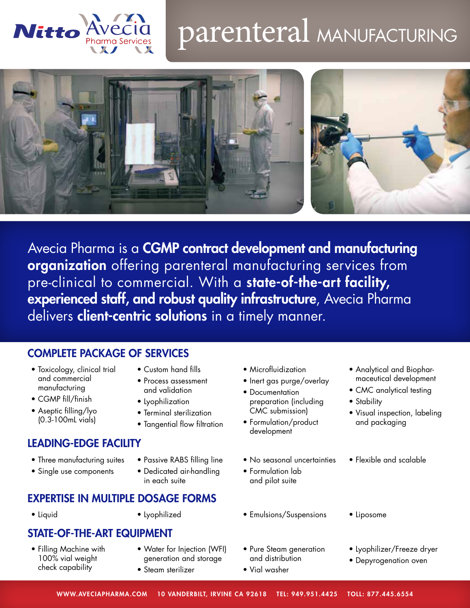

# parenteral MANUFACTURING



Avecia Pharma is a CGMP contract development and manufacturing organization offering parenteral manufacturing services from pre-clinical to commercial. With a state-of-the-art facility, experienced staff, and robust quality infrastructure, Avecia Pharma delivers client-centric solutions in a timely manner.

# COMPLETE PACKAGE OF SERVICES

- Toxicology, clinical trial and commercial manufacturing
- CGMP fill/finish
- Aseptic filling/lyo (0.3-100mL vials)
- Custom hand fills
- Process assessment and validation
- Lyophilization
- Terminal sterilization
- Tangential flow filtration

# LEADING-EDGE FACILITY

- Three manufacturing suites
- Single use components
- Passive RABS filling line
- 

## • Dedicated air-handling in each suite

# EXPERTISE IN MULTIPLE DOSAGE FORMS

# STATE-OF-THE-ART EQUIPMENT

- Filling Machine with 100% vial weight check capability
- Water for Injection (WFI) generation and storage
- Steam sterilizer
- Microfluidization
- Inert gas purge/overlay
- Documentation preparation (including CMC submission)
- Formulation/product development
- No seasonal uncertainties
- Formulation lab and pilot suite
- Liquid Lyophilized Emulsions/Suspensions Liposome
	- Pure Steam generation and distribution
	- Vial washer
- Analytical and Biopharmaceutical development
- CMC analytical testing
- Stability
- Visual inspection, labeling and packaging
- Flexible and scalable
- 
- Lyophilizer/Freeze dryer
- Depyrogenation oven